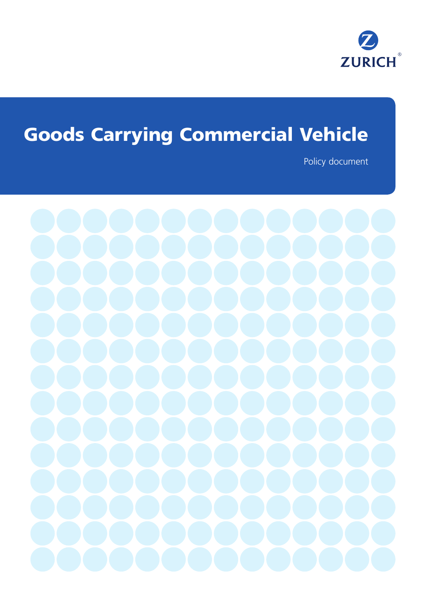

# Goods Carrying Commercial Vehicle

Policy document

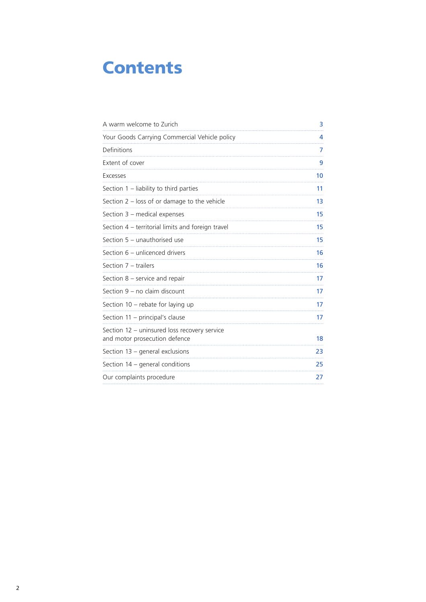## **Contents**

| A warm welcome to Zurich                                                      | 3  |
|-------------------------------------------------------------------------------|----|
| Your Goods Carrying Commercial Vehicle policy                                 | 4  |
| Definitions                                                                   | 7  |
| Extent of cover                                                               | 9  |
| Excesses                                                                      | 10 |
| Section $1$ – liability to third parties                                      | 11 |
| Section $2$ – loss of or damage to the vehicle                                | 13 |
| Section 3 - medical expenses                                                  | 15 |
| Section 4 - territorial limits and foreign travel                             | 15 |
| Section 5 - unauthorised use                                                  | 15 |
| Section 6 – unlicenced drivers                                                | 16 |
| Section 7 - trailers                                                          | 16 |
| Section $8$ – service and repair                                              | 17 |
| Section 9 - no claim discount                                                 | 17 |
| Section 10 - rebate for laying up                                             | 17 |
| Section 11 - principal's clause                                               | 17 |
| Section 12 – uninsured loss recovery service<br>and motor prosecution defence | 18 |
| Section 13 - general exclusions                                               | 23 |
| Section 14 - general conditions                                               | 25 |
| Our complaints procedure                                                      | 27 |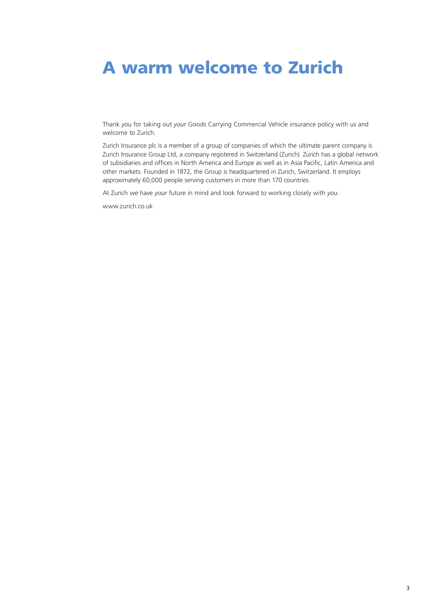# A warm welcome to Zurich

Thank *you* for taking out *your* Goods Carrying Commercial Vehicle insurance policy with *us* and welcome to Zurich.

Zurich Insurance plc is a member of a group of companies of which the ultimate parent company is Zurich Insurance Group Ltd, a company registered in Switzerland (Zurich). Zurich has a global network of subsidiaries and offices in North America and Europe as well as in Asia Pacific, Latin America and other markets. Founded in 1872, the Group is headquartered in Zurich, Switzerland. It employs approximately 60,000 people serving customers in more than 170 countries.

At Zurich *we* have *your* future in mind and look forward to working closely with *you*.

www.zurich.co.uk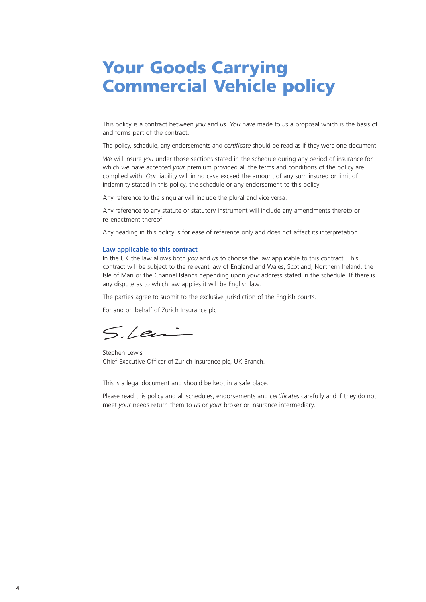## Your Goods Carrying Commercial Vehicle policy

This policy is a contract between *you* and *us*. *You* have made to *us* a proposal which is the basis of and forms part of the contract.

The policy, schedule, any endorsements and *certificate* should be read as if they were one document.

*We* will insure *you* under those sections stated in the schedule during any period of insurance for which *we* have accepted *your* premium provided all the terms and conditions of the policy are complied with. *Our* liability will in no case exceed the amount of any sum insured or limit of indemnity stated in this policy, the schedule or any endorsement to this policy.

Any reference to the singular will include the plural and vice versa.

Any reference to any statute or statutory instrument will include any amendments thereto or re-enactment thereof.

Any heading in this policy is for ease of reference only and does not affect its interpretation.

#### **Law applicable to this contract**

In the UK the law allows both *you* and *us* to choose the law applicable to this contract. This contract will be subject to the relevant law of England and Wales, Scotland, Northern Ireland, the Isle of Man or the Channel Islands depending upon *your* address stated in the schedule. If there is any dispute as to which law applies it will be English law.

The parties agree to submit to the exclusive jurisdiction of the English courts.

For and on behalf of Zurich Insurance plc

S.Levi

Stephen Lewis Chief Executive Officer of Zurich Insurance plc, UK Branch.

This is a legal document and should be kept in a safe place.

Please read this policy and all schedules, endorsements and *certificates* carefully and if they do not meet *your* needs return them to *us* or *your* broker or insurance intermediary.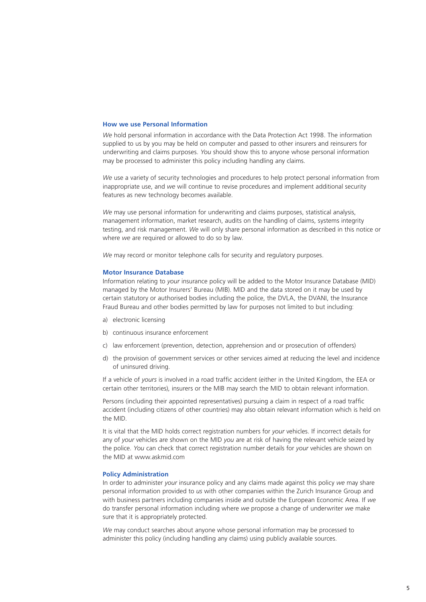#### **How we use Personal Information**

*We* hold personal information in accordance with the Data Protection Act 1998. The information supplied to us by you may be held on computer and passed to other insurers and reinsurers for underwriting and claims purposes. *You* should show this to anyone whose personal information may be processed to administer this policy including handling any claims.

*We* use a variety of security technologies and procedures to help protect personal information from inappropriate use, and *we* will continue to revise procedures and implement additional security features as new technology becomes available.

*We* may use personal information for underwriting and claims purposes, statistical analysis, management information, market research, audits on the handling of claims, systems integrity testing, and risk management. *We* will only share personal information as described in this notice or where *we* are required or allowed to do so by law.

*We* may record or monitor telephone calls for security and regulatory purposes.

#### **Motor Insurance Database**

Information relating to *your* insurance policy will be added to the Motor Insurance Database (MID) managed by the Motor Insurers' Bureau (MIB). MID and the data stored on it may be used by certain statutory or authorised bodies including the police, the DVLA, the DVANI, the Insurance Fraud Bureau and other bodies permitted by law for purposes not limited to but including:

- a) electronic licensing
- b) continuous insurance enforcement
- c) law enforcement (prevention, detection, apprehension and or prosecution of offenders)
- d) the provision of government services or other services aimed at reducing the level and incidence of uninsured driving.

If a vehicle of *yours* is involved in a road traffic accident (either in the United Kingdom, the EEA or certain other territories), insurers or the MIB may search the MID to obtain relevant information.

Persons (including their appointed representatives) pursuing a claim in respect of a road traffic accident (including citizens of other countries) may also obtain relevant information which is held on the MID.

It is vital that the MID holds correct registration numbers for *your* vehicles. If incorrect details for any of *your* vehicles are shown on the MID *you* are at risk of having the relevant vehicle seized by the police. *You* can check that correct registration number details for *your* vehicles are shown on the MID at www.askmid.com

## **Policy Administration**

In order to administer *your* insurance policy and any claims made against this policy *we* may share personal information provided to *us* with other companies within the Zurich Insurance Group and with business partners including companies inside and outside the European Economic Area. If *we* do transfer personal information including where *we* propose a change of underwriter *we* make sure that it is appropriately protected.

*We* may conduct searches about anyone whose personal information may be processed to administer this policy (including handling any claims) using publicly available sources.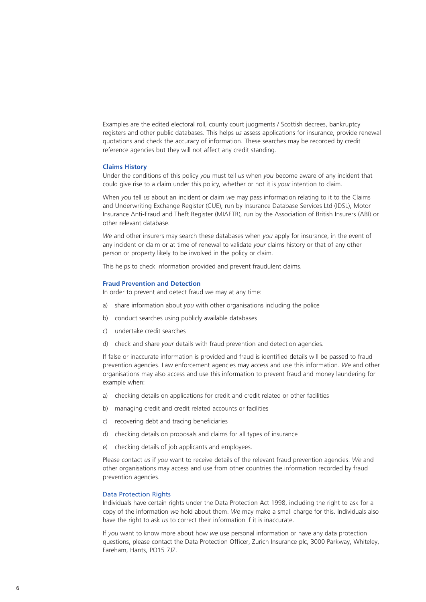Examples are the edited electoral roll, county court judgments / Scottish decrees, bankruptcy registers and other public databases. This helps *us* assess applications for insurance, provide renewal quotations and check the accuracy of information. These searches may be recorded by credit reference agencies but they will not affect any credit standing.

#### **Claims History**

Under the conditions of this policy *you* must tell *us* when *you* become aware of any incident that could give rise to a claim under this policy, whether or not it is *your* intention to claim.

When *you* tell *us* about an incident or claim *we* may pass information relating to it to the Claims and Underwriting Exchange Register (CUE), run by Insurance Database Services Ltd (IDSL), Motor Insurance Anti-Fraud and Theft Register (MIAFTR), run by the Association of British Insurers (ABI) or other relevant database.

*We* and other insurers may search these databases when *you* apply for insurance, in the event of any incident or claim or at time of renewal to validate *your* claims history or that of any other person or property likely to be involved in the policy or claim.

This helps to check information provided and prevent fraudulent claims.

#### **Fraud Prevention and Detection**

In order to prevent and detect fraud *we* may at any time:

- a) share information about *you* with other organisations including the police
- b) conduct searches using publicly available databases
- c) undertake credit searches
- d) check and share *your* details with fraud prevention and detection agencies.

If false or inaccurate information is provided and fraud is identified details will be passed to fraud prevention agencies. Law enforcement agencies may access and use this information. *We* and other organisations may also access and use this information to prevent fraud and money laundering for example when:

- a) checking details on applications for credit and credit related or other facilities
- b) managing credit and credit related accounts or facilities
- c) recovering debt and tracing beneficiaries
- d) checking details on proposals and claims for all types of insurance
- e) checking details of job applicants and employees.

Please contact *us* if *you* want to receive details of the relevant fraud prevention agencies. *We* and other organisations may access and use from other countries the information recorded by fraud prevention agencies.

#### Data Protection Rights

Individuals have certain rights under the Data Protection Act 1998, including the right to ask for a copy of the information *we* hold about them. *We* may make a small charge for this. Individuals also have the right to ask *us* to correct their information if it is inaccurate.

If *you* want to know more about how *we* use personal information or have any data protection questions, please contact the Data Protection Officer, Zurich Insurance plc, 3000 Parkway, Whiteley, Fareham, Hants, PO15 7JZ.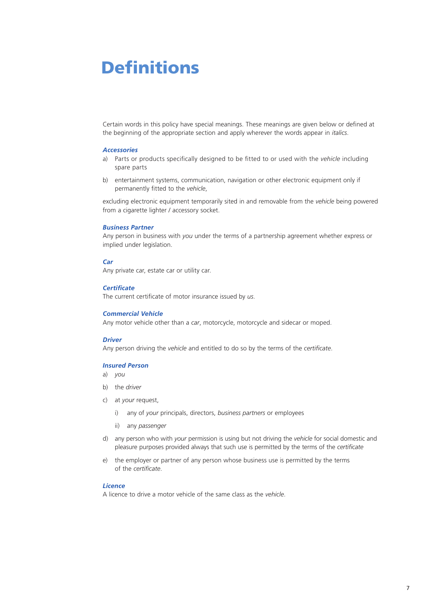## **Definitions**

Certain words in this policy have special meanings. These meanings are given below or defined at the beginning of the appropriate section and apply wherever the words appear in *italics*.

#### *Accessories*

- a) Parts or products specifically designed to be fitted to or used with the *vehicle* including spare parts
- b) entertainment systems, communication, navigation or other electronic equipment only if permanently fitted to the *vehicle*,

excluding electronic equipment temporarily sited in and removable from the *vehicle* being powered from a cigarette lighter / accessory socket.

#### *Business Partner*

Any person in business with *you* under the terms of a partnership agreement whether express or implied under legislation.

#### *Car*

Any private car, estate car or utility car.

## *Certificate*

The current certificate of motor insurance issued by *us*.

## *Commercial Vehicle*

Any motor vehicle other than a *car*, motorcycle, motorcycle and sidecar or moped.

## *Driver*

Any person driving the *vehicle* and entitled to do so by the terms of the *certificate*.

### *Insured Person*

- a) *you*
- b) the *driver*
- c) at *your* request,
	- i) any of *your* principals, directors, *business partners* or employees
	- ii) any *passenger*
- d) any person who with *your* permission is using but not driving the *vehicle* for social domestic and pleasure purposes provided always that such use is permitted by the terms of the *certificate*
- e) the employer or partner of any person whose business use is permitted by the terms of the *certificate*.

## *Licence*

A licence to drive a motor vehicle of the same class as the *vehicle*.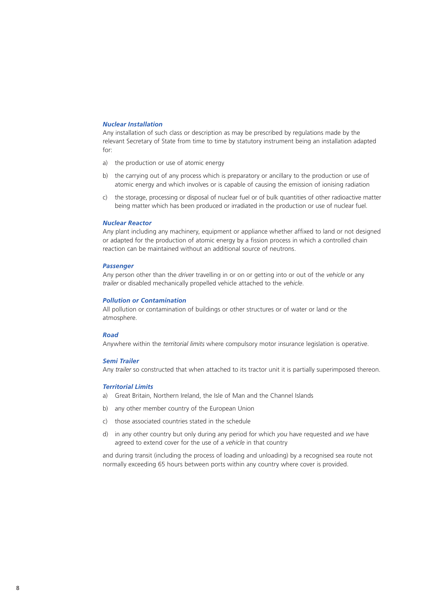## *Nuclear Installation*

Any installation of such class or description as may be prescribed by regulations made by the relevant Secretary of State from time to time by statutory instrument being an installation adapted for:

- a) the production or use of atomic energy
- b) the carrying out of any process which is preparatory or ancillary to the production or use of atomic energy and which involves or is capable of causing the emission of ionising radiation
- c) the storage, processing or disposal of nuclear fuel or of bulk quantities of other radioactive matter being matter which has been produced or irradiated in the production or use of nuclear fuel.

#### *Nuclear Reactor*

Any plant including any machinery, equipment or appliance whether affixed to land or not designed or adapted for the production of atomic energy by a fission process in which a controlled chain reaction can be maintained without an additional source of neutrons.

#### *Passenger*

Any person other than the *driver* travelling in or on or getting into or out of the *vehicle* or any *trailer* or disabled mechanically propelled vehicle attached to the *vehicle*.

## *Pollution or Contamination*

All pollution or contamination of buildings or other structures or of water or land or the atmosphere.

#### *Road*

Anywhere within the *territorial limits* where compulsory motor insurance legislation is operative.

### *Semi Trailer*

Any *trailer* so constructed that when attached to its tractor unit it is partially superimposed thereon.

#### *Territorial Limits*

- a) Great Britain, Northern Ireland, the Isle of Man and the Channel Islands
- b) any other member country of the European Union
- c) those associated countries stated in the schedule
- d) in any other country but only during any period for which *you* have requested and *we* have agreed to extend cover for the use of a *vehicle* in that country

and during transit (including the process of loading and unloading) by a recognised sea route not normally exceeding 65 hours between ports within any country where cover is provided.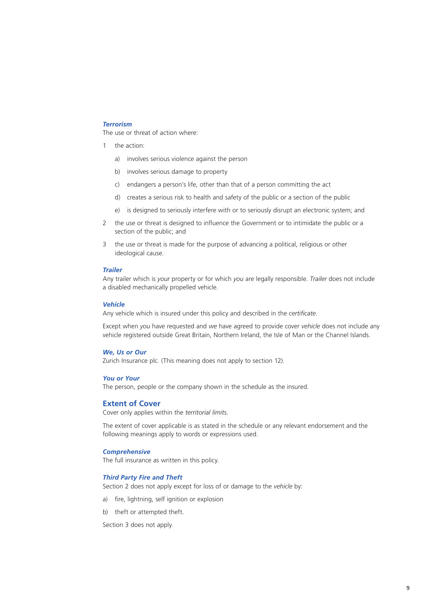## *Terrorism*

The use or threat of action where:

- 1 the action:
	- a) involves serious violence against the person
	- b) involves serious damage to property
	- c) endangers a person's life, other than that of a person committing the act
	- d) creates a serious risk to health and safety of the public or a section of the public
	- e) is designed to seriously interfere with or to seriously disrupt an electronic system; and
- 2 the use or threat is designed to influence the Government or to intimidate the public or a section of the public; and
- 3 the use or threat is made for the purpose of advancing a political, religious or other ideological cause.

### *Trailer*

Any trailer which is *your* property or for which *you* are legally responsible. *Trailer* does not include a disabled mechanically propelled vehicle.

#### *Vehicle*

Any vehicle which is insured under this policy and described in the *certificate*.

Except when *you* have requested and *we* have agreed to provide cover *vehicle* does not include any vehicle registered outside Great Britain, Northern Ireland, the Isle of Man or the Channel Islands.

#### *We, Us or Our*

Zurich Insurance plc. (This meaning does not apply to section 12).

#### *You or Your*

The person, people or the company shown in the schedule as the insured.

## **Extent of Cover**

Cover only applies within the *territorial limits*.

The extent of cover applicable is as stated in the schedule or any relevant endorsement and the following meanings apply to words or expressions used.

## *Comprehensive*

The full insurance as written in this policy.

### *Third Party Fire and Theft*

Section 2 does not apply except for loss of or damage to the *vehicle* by:

- a) fire, lightning, self ignition or explosion
- b) theft or attempted theft.

Section 3 does not apply.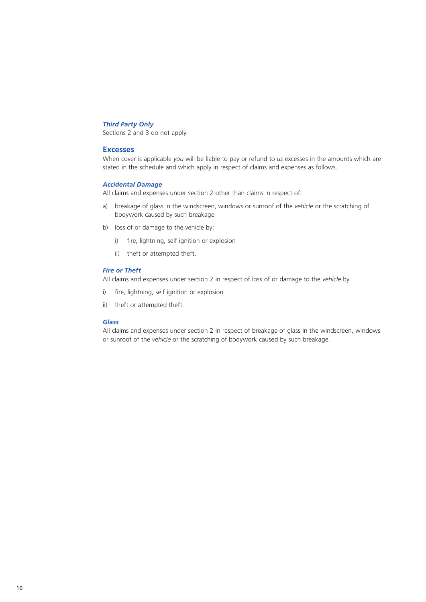## *Third Party Only*

Sections 2 and 3 do not apply.

## **Excesses**

When cover is applicable *you* will be liable to pay or refund to *us* excesses in the amounts which are stated in the schedule and which apply in respect of claims and expenses as follows.

## *Accidental Damage*

All claims and expenses under section 2 other than claims in respect of:

- a) breakage of glass in the windscreen, windows or sunroof of the *vehicle* or the scratching of bodywork caused by such breakage
- b) loss of or damage to the vehicle by:
	- i) fire, lightning, self ignition or explosion
	- ii) theft or attempted theft.

## *Fire or Theft*

All claims and expenses under section 2 in respect of loss of or damage to the *vehicle* by

- i) fire, lightning, self ignition or explosion
- ii) theft or attempted theft.

#### *Glass*

All claims and expenses under section 2 in respect of breakage of glass in the windscreen, windows or sunroof of the *vehicle* or the scratching of bodywork caused by such breakage.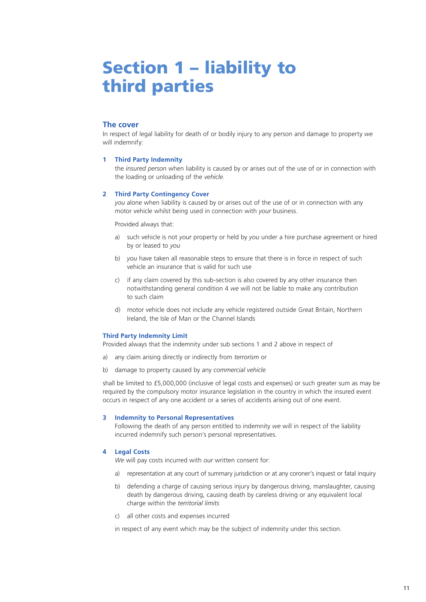## Section 1 – liability to third parties

## **The cover**

In respect of legal liability for death of or bodily injury to any person and damage to property *we* will indemnify:

### **1 Third Party Indemnity**

the *insured person* when liability is caused by or arises out of the use of or in connection with the loading or unloading of the *vehicle*.

#### **2 Third Party Contingency Cover**

*you* alone when liability is caused by or arises out of the use of or in connection with any motor vehicle whilst being used in connection with *your* business.

Provided always that:

- a) such vehicle is not *your* property or held by *you* under a hire purchase agreement or hired by or leased to *you*
- b) *you* have taken all reasonable steps to ensure that there is in force in respect of such vehicle an insurance that is valid for such use
- c) if any claim covered by this sub-section is also covered by any other insurance then notwithstanding general condition 4 *we* will not be liable to make any contribution to such claim
- d) motor vehicle does not include any vehicle registered outside Great Britain, Northern Ireland, the Isle of Man or the Channel Islands

#### **Third Party Indemnity Limit**

Provided always that the indemnity under sub sections 1 and 2 above in respect of

- a) any claim arising directly or indirectly from *terrorism* or
- b) damage to property caused by any *commercial vehicle*

shall be limited to £5,000,000 (inclusive of legal costs and expenses) or such greater sum as may be required by the compulsory motor insurance legislation in the country in which the insured event occurs in respect of any one accident or a series of accidents arising out of one event.

## **3 Indemnity to Personal Representatives**

Following the death of any person entitled to indemnity *we* will in respect of the liability incurred indemnify such person's personal representatives.

## **4 Legal Costs**

*We* will pay costs incurred with *our* written consent for:

- a) representation at any court of summary jurisdiction or at any coroner's inquest or fatal inquiry
- b) defending a charge of causing serious injury by dangerous driving, manslaughter, causing death by dangerous driving, causing death by careless driving or any equivalent local charge within the *territorial limits*
- c) all other costs and expenses incurred

in respect of any event which may be the subject of indemnity under this section.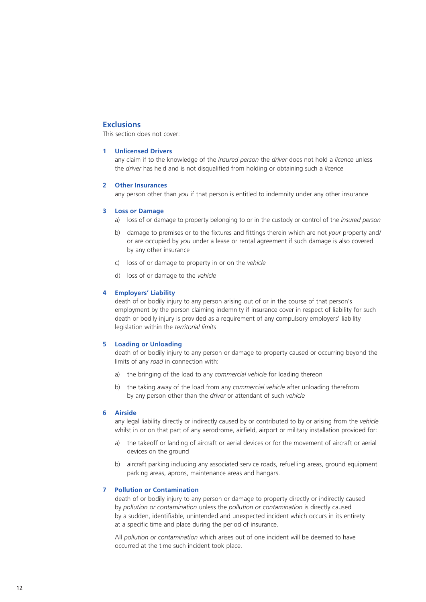## **Exclusions**

This section does not cover:

### **1 Unlicensed Drivers**

any claim if to the knowledge of the *insured person* the *driver* does not hold a *licence* unless the *driver* has held and is not disqualified from holding or obtaining such a *licence*

## **2 Other Insurances**

any person other than *you* if that person is entitled to indemnity under any other insurance

#### **3 Loss or Damage**

- a) loss of or damage to property belonging to or in the custody or control of the *insured person*
- b) damage to premises or to the fixtures and fittings therein which are not *your* property and/ or are occupied by *you* under a lease or rental agreement if such damage is also covered by any other insurance
- c) loss of or damage to property in or on the *vehicle*
- d) loss of or damage to the *vehicle*

## **4 Employers' Liability**

death of or bodily injury to any person arising out of or in the course of that person's employment by the person claiming indemnity if insurance cover in respect of liability for such death or bodily injury is provided as a requirement of any compulsory employers' liability legislation within the *territorial limits*

## **5 Loading or Unloading**

death of or bodily injury to any person or damage to property caused or occurring beyond the limits of any *road* in connection with:

- a) the bringing of the load to any *commercial vehicle* for loading thereon
- b) the taking away of the load from any *commercial vehicle* after unloading therefrom by any person other than the *driver* or attendant of such *vehicle*

## **6 Airside**

any legal liability directly or indirectly caused by or contributed to by or arising from the *vehicle* whilst in or on that part of any aerodrome, airfield, airport or military installation provided for:

- a) the takeoff or landing of aircraft or aerial devices or for the movement of aircraft or aerial devices on the ground
- b) aircraft parking including any associated service roads, refuelling areas, ground equipment parking areas, aprons, maintenance areas and hangars.

## **7 Pollution or Contamination**

death of or bodily injury to any person or damage to property directly or indirectly caused by *pollution or contamination* unless the *pollution or contamination* is directly caused by a sudden, identifiable, unintended and unexpected incident which occurs in its entirety at a specific time and place during the period of insurance.

All *pollution or contamination* which arises out of one incident will be deemed to have occurred at the time such incident took place.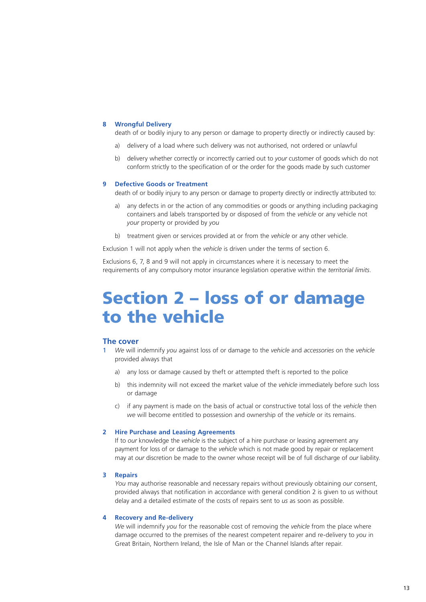### **8 Wrongful Delivery**

death of or bodily injury to any person or damage to property directly or indirectly caused by:

- a) delivery of a load where such delivery was not authorised, not ordered or unlawful
- b) delivery whether correctly or incorrectly carried out to *your* customer of goods which do not conform strictly to the specification of or the order for the goods made by such customer

## **9 Defective Goods or Treatment**

death of or bodily injury to any person or damage to property directly or indirectly attributed to:

- a) any defects in or the action of any commodities or goods or anything including packaging containers and labels transported by or disposed of from the *vehicle* or any vehicle not *your* property or provided by *you*
- b) treatment given or services provided at or from the *vehicle* or any other vehicle.

Exclusion 1 will not apply when the *vehicle* is driven under the terms of section 6.

Exclusions 6, 7, 8 and 9 will not apply in circumstances where it is necessary to meet the requirements of any compulsory motor insurance legislation operative within the *territorial limits*.

## Section 2 – loss of or damage to the vehicle

## **The cover**

- 1 *We* will indemnify *you* against loss of or damage to the *vehicle* and *accessories* on the *vehicle* provided always that
	- a) any loss or damage caused by theft or attempted theft is reported to the police
	- b) this indemnity will not exceed the market value of the *vehicle* immediately before such loss or damage
	- c) if any payment is made on the basis of actual or constructive total loss of the *vehicle* then *we* will become entitled to possession and ownership of the *vehicle* or its remains.

#### **2 Hire Purchase and Leasing Agreements**

If to *our* knowledge the *vehicle* is the subject of a hire purchase or leasing agreement any payment for loss of or damage to the *vehicle* which is not made good by repair or replacement may at *our* discretion be made to the owner whose receipt will be of full discharge of *our* liability.

## **3 Repairs**

*You* may authorise reasonable and necessary repairs without previously obtaining *our* consent, provided always that notification in accordance with general condition 2 is given to *us* without delay and a detailed estimate of the costs of repairs sent to *us* as soon as possible.

#### **4 Recovery and Re-delivery**

*We* will indemnify *you* for the reasonable cost of removing the *vehicle* from the place where damage occurred to the premises of the nearest competent repairer and re-delivery to *you* in Great Britain, Northern Ireland, the Isle of Man or the Channel Islands after repair.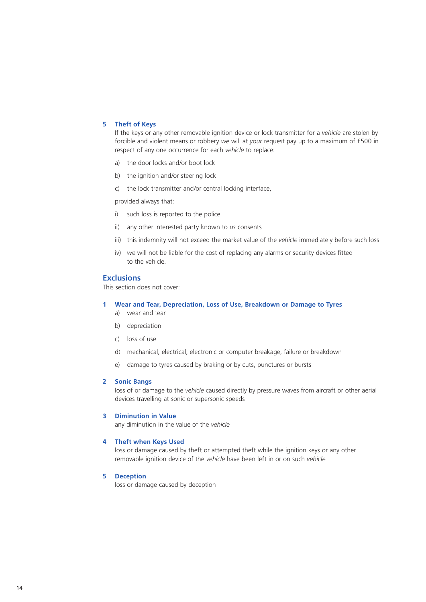## **5 Theft of Keys**

If the keys or any other removable ignition device or lock transmitter for a *vehicle* are stolen by forcible and violent means or robbery *we* will at *your* request pay up to a maximum of £500 in respect of any one occurrence for each *vehicle* to replace:

- a) the door locks and/or boot lock
- b) the ignition and/or steering lock
- c) the lock transmitter and/or central locking interface,

provided always that:

- i) such loss is reported to the police
- ii) any other interested party known to *us* consents
- iii) this indemnity will not exceed the market value of the *vehicle* immediately before such loss
- iv) *we* will not be liable for the cost of replacing any alarms or security devices fitted to the vehicle.

## **Exclusions**

This section does not cover:

#### **1 Wear and Tear, Depreciation, Loss of Use, Breakdown or Damage to Tyres**

- a) wear and tear
- b) depreciation
- c) loss of use
- d) mechanical, electrical, electronic or computer breakage, failure or breakdown
- e) damage to tyres caused by braking or by cuts, punctures or bursts

## **2 Sonic Bangs**

loss of or damage to the *vehicle* caused directly by pressure waves from aircraft or other aerial devices travelling at sonic or supersonic speeds

## **3 Diminution in Value**

any diminution in the value of the *vehicle*

## **4 Theft when Keys Used**

loss or damage caused by theft or attempted theft while the ignition keys or any other removable ignition device of the *vehicle* have been left in or on such *vehicle*

## **5 Deception**

loss or damage caused by deception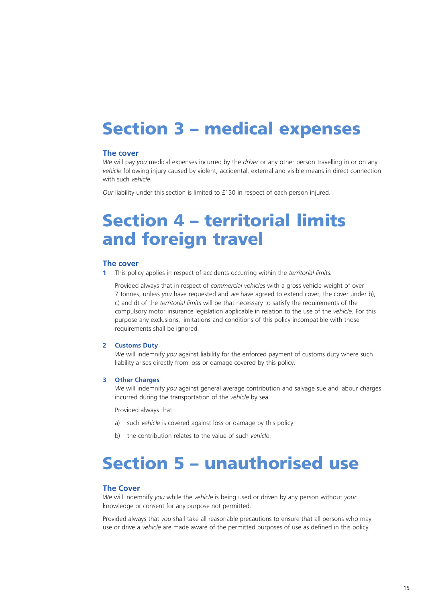## Section 3 – medical expenses

## **The cover**

*We* will pay *you* medical expenses incurred by the *driver* or any other person travelling in or on any *vehicle* following injury caused by violent, accidental, external and visible means in direct connection with such *vehicle*.

*Our* liability under this section is limited to £150 in respect of each person injured.

## Section 4 – territorial limits and foreign travel

## **The cover**

**1** This policy applies in respect of accidents occurring within the *territorial limits.*

Provided always that in respect of *commercial vehicles* with a gross vehicle weight of over 7 tonnes, unless *you* have requested and *we* have agreed to extend cover, the cover under b), c) and d) of the *territorial limits* will be that necessary to satisfy the requirements of the compulsory motor insurance legislation applicable in relation to the use of the *vehicle*. For this purpose any exclusions, limitations and conditions of this policy incompatible with those requirements shall be ignored.

#### **2 Customs Duty**

*We* will indemnify *you* against liability for the enforced payment of customs duty where such liability arises directly from loss or damage covered by this policy.

## **3 Other Charges**

*We* will indemnify *you* against general average contribution and salvage sue and labour charges incurred during the transportation of the *vehicle* by sea.

Provided always that:

- a) such *vehicle* is covered against loss or damage by this policy
- b) the contribution relates to the value of such *vehicle*.

## Section 5 – unauthorised use

## **The Cover**

*We* will indemnify *you* while the *vehicle* is being used or driven by any person without *your* knowledge or consent for any purpose not permitted.

Provided always that *you* shall take all reasonable precautions to ensure that all persons who may use or drive a *vehicle* are made aware of the permitted purposes of use as defined in this policy.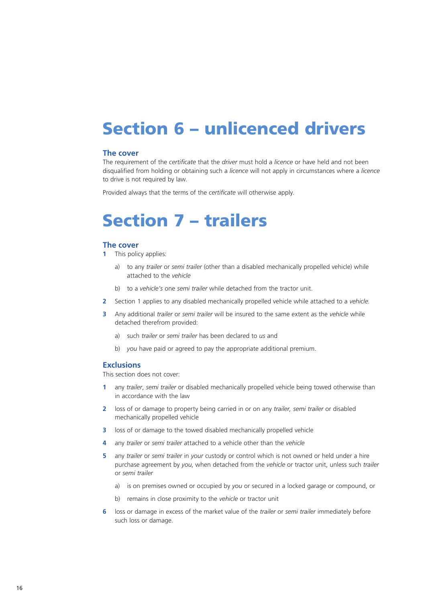# Section 6 – unlicenced drivers

## **The cover**

The requirement of the *certificate* that the *driver* must hold a *licence* or have held and not been disqualified from holding or obtaining such a *licence* will not apply in circumstances where a *licence* to drive is not required by law.

Provided always that the terms of the *certificate* will otherwise apply.

## Section 7 – trailers

## **The cover**

- **1** This policy applies:
	- a) to any *trailer* or *semi trailer* (other than a disabled mechanically propelled vehicle) while attached to the *vehicle*
	- b) to a *vehicle's* one *semi trailer* while detached from the tractor unit.
- **2** Section 1 applies to any disabled mechanically propelled vehicle while attached to a *vehicle.*
- **3** Any additional *trailer* or *semi trailer* will be insured to the same extent as the *vehicle* while detached therefrom provided:
	- a) such *trailer* or *semi trailer* has been declared to *us* and
	- b) *you* have paid or agreed to pay the appropriate additional premium.

### **Exclusions**

This section does not cover:

- **1** any *trailer*, *semi trailer* or disabled mechanically propelled vehicle being towed otherwise than in accordance with the law
- **2** loss of or damage to property being carried in or on any *trailer, semi trailer* or disabled mechanically propelled vehicle
- **3** loss of or damage to the towed disabled mechanically propelled vehicle
- **4** any *trailer* or *semi trailer* attached to a vehicle other than the *vehicle*
- **5** any *trailer* or *semi trailer* in *your* custody or control which is not owned or held under a hire purchase agreement by *you*, when detached from the *vehicle* or tractor unit, unless such *trailer* or *semi trailer*
	- a) is on premises owned or occupied by *you* or secured in a locked garage or compound, or
	- b) remains in close proximity to the *vehicle* or tractor unit
- **6** loss or damage in excess of the market value of the *trailer* or *semi trailer* immediately before such loss or damage.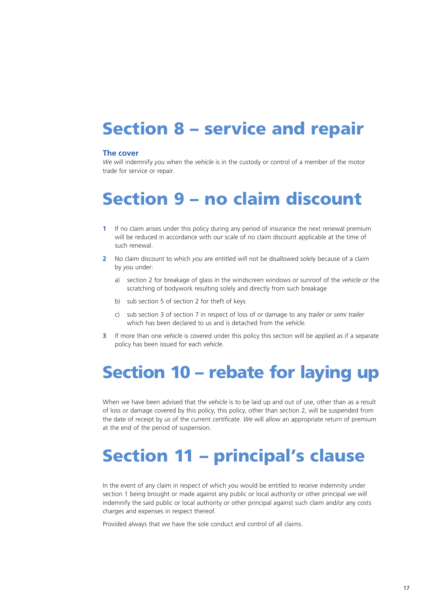# Section 8 – service and repair

## **The cover**

*We* will indemnify *you* when the *vehicle* is in the custody or control of a member of the motor trade for service or repair.

## Section 9 – no claim discount

- **1** If no claim arises under this policy during any period of insurance the next renewal premium will be reduced in accordance with *our* scale of no claim discount applicable at the time of such renewal.
- **2** No claim discount to which *you* are entitled will not be disallowed solely because of a claim by *you* under:
	- a) section 2 for breakage of glass in the windscreen windows or sunroof of the *vehicle* or the scratching of bodywork resulting solely and directly from such breakage
	- b) sub section 5 of section 2 for theft of keys
	- c) sub section 3 of section 7 in respect of loss of or damage to any *trailer* or *semi trailer* which has been declared to *us* and is detached from the *vehicle.*
- **3** If more than one *vehicle* is covered under this policy this section will be applied as if a separate policy has been issued for each *vehicle*.

## Section 10 – rebate for laying up

When *we* have been advised that the *vehicle* is to be laid up and out of use, other than as a result of loss or damage covered by this policy, this policy, other than section 2, will be suspended from the date of receipt by *us* of the current *certificate*. *We* will allow an appropriate return of premium at the end of the period of suspension.

# Section 11 – principal's clause

In the event of any claim in respect of which *you* would be entitled to receive indemnity under section 1 being brought or made against any public or local authority or other principal *we* will indemnify the said public or local authority or other principal against such claim and/or any costs charges and expenses in respect thereof.

Provided always that *we* have the sole conduct and control of all claims.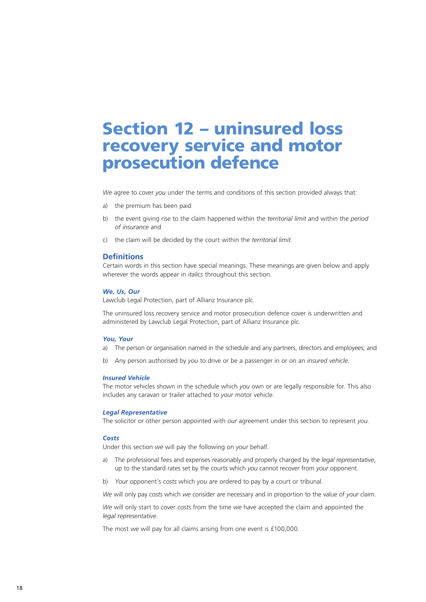## Section 12 – uninsured loss recovery service and motor prosecution defence

*We* agree to cover *you* under the terms and conditions of this section provided always that:

- a) the premium has been paid
- b) the event giving rise to the claim happened within the *territorial limit* and within the *period of insurance* and
- c) the claim will be decided by the court within the *territorial limit*.

## **Definitions**

Certain words in this section have special meanings. These meanings are given below and apply wherever the words appear in *italics* throughout this section.

#### *We, Us, Our*

Lawclub Legal Protection, part of Allianz Insurance plc.

The uninsured loss recovery service and motor prosecution defence cover is underwritten and administered by Lawclub Legal Protection, part of Allianz Insurance plc.

#### *You, Your*

a) The person or organisation named in the schedule and any partners, directors and employees; and

b) Any person authorised by *you* to drive or be a passenger in or on an *insured vehicle*.

## *Insured Vehicle*

The motor vehicles shown in the schedule which *you* own or are legally responsible for. This also includes any caravan or trailer attached to *your* motor vehicle.

#### *Legal Representative*

The solicitor or other person appointed with *our* agreement under this section to represent *you.*

## *Costs*

Under this section *we* will pay the following on *your* behalf.

- a) The professional fees and expenses reasonably and properly charged by the *legal representative*, up to the standard rates set by the courts which *you* cannot recover from *your* opponent.
- b) *Your* opponent's *costs* which *you* are ordered to pay by a court or tribunal.

*We* will only pay *costs* which *we* consider are necessary and in proportion to the value of *your* claim.

*We* will only start to cover *costs* from the time *we* have accepted the claim and appointed the *legal representative*.

The most *we* will pay for all claims arising from one event is £100,000.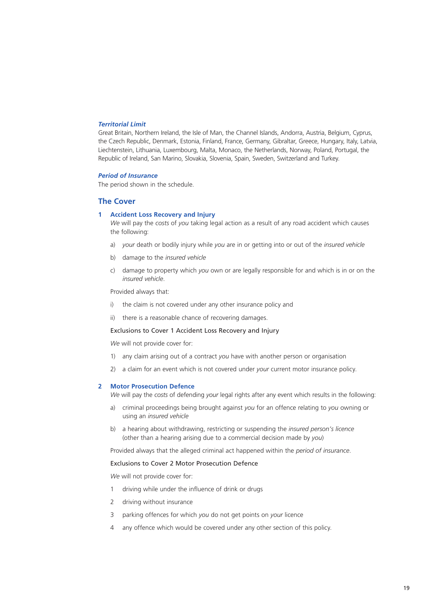#### *Territorial Limit*

Great Britain, Northern Ireland, the Isle of Man, the Channel Islands, Andorra, Austria, Belgium, Cyprus, the Czech Republic, Denmark, Estonia, Finland, France, Germany, Gibraltar, Greece, Hungary, Italy, Latvia, Liechtenstein, Lithuania, Luxembourg, Malta, Monaco, the Netherlands, Norway, Poland, Portugal, the Republic of Ireland, San Marino, Slovakia, Slovenia, Spain, Sweden, Switzerland and Turkey.

### *Period of Insurance*

The period shown in the schedule.

## **The Cover**

## **1 Accident Loss Recovery and Injury**

*We* will pay the *costs* of *you* taking legal action as a result of any road accident which causes the following:

- a) *your* death or bodily injury while *you* are in or getting into or out of the *insured vehicle*
- b) damage to the *insured vehicle*
- c) damage to property which *you* own or are legally responsible for and which is in or on the *insured vehicle*.

Provided always that:

- i) the claim is not covered under any other insurance policy and
- ii) there is a reasonable chance of recovering damages.

## Exclusions to Cover 1 Accident Loss Recovery and Injury

*We* will not provide cover for:

- 1) any claim arising out of a contract *you* have with another person or organisation
- 2) a claim for an event which is not covered under *your* current motor insurance policy.

## **2 Motor Prosecution Defence**

*We* will pay the *costs* of defending *your* legal rights after any event which results in the following:

- a) criminal proceedings being brought against *you* for an offence relating to *you* owning or using an *insured vehicle*
- b) a hearing about withdrawing, restricting or suspending the *insured person's licence* (other than a hearing arising due to a commercial decision made by *you*)

Provided always that the alleged criminal act happened within the *period of insurance*.

#### Exclusions to Cover 2 Motor Prosecution Defence

*We* will not provide cover for:

- 1 driving while under the influence of drink or drugs
- 2 driving without insurance
- 3 parking offences for which *you* do not get points on *your* licence
- 4 any offence which would be covered under any other section of this policy.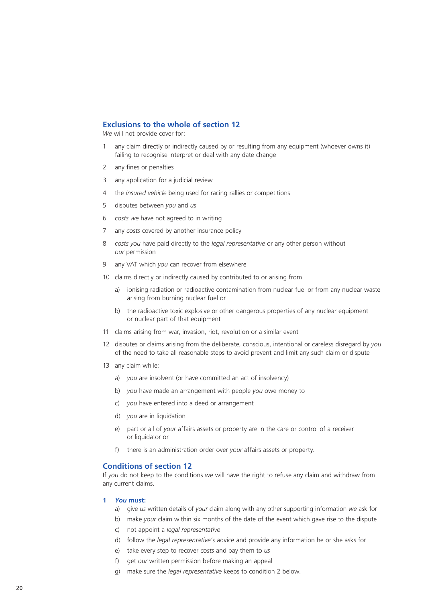## **Exclusions to the whole of section 12**

*We* will not provide cover for:

- 1 any claim directly or indirectly caused by or resulting from any equipment (whoever owns it) failing to recognise interpret or deal with any date change
- 2 any fines or penalties
- 3 any application for a judicial review
- 4 the *insured vehicle* being used for racing rallies or competitions
- 5 disputes between *you* and *us*
- 6 *costs we* have not agreed to in writing
- 7 any *costs* covered by another insurance policy
- 8 *costs you* have paid directly to the *legal representative* or any other person without *our* permission
- 9 any VAT which *you* can recover from elsewhere
- 10 claims directly or indirectly caused by contributed to or arising from
	- a) ionising radiation or radioactive contamination from nuclear fuel or from any nuclear waste arising from burning nuclear fuel or
	- b) the radioactive toxic explosive or other dangerous properties of any nuclear equipment or nuclear part of that equipment
- 11 claims arising from war, invasion, riot, revolution or a similar event
- 12 disputes or claims arising from the deliberate, conscious, intentional or careless disregard by *you* of the need to take all reasonable steps to avoid prevent and limit any such claim or dispute
- 13 any claim while:
	- a) *you* are insolvent (or have committed an act of insolvency)
	- b) *you* have made an arrangement with people *you* owe money to
	- c) *you* have entered into a deed or arrangement
	- d) *you* are in liquidation
	- e) part or all of *your* affairs assets or property are in the care or control of a receiver or liquidator or
	- f) there is an administration order over *your* affairs assets or property.

## **Conditions of section 12**

If *you* do not keep to the conditions *we* will have the right to refuse any claim and withdraw from any current claims.

## **1** *You* **must:**

- a) give *us* written details of *your* claim along with any other supporting information *we* ask for
- b) make *your* claim within six months of the date of the event which gave rise to the dispute
- c) not appoint a *legal representative*
- d) follow the *legal representative's* advice and provide any information he or she asks for
- e) take every step to recover *costs* and pay them to *us*
- f) get *our* written permission before making an appeal
- g) make sure the *legal representative* keeps to condition 2 below.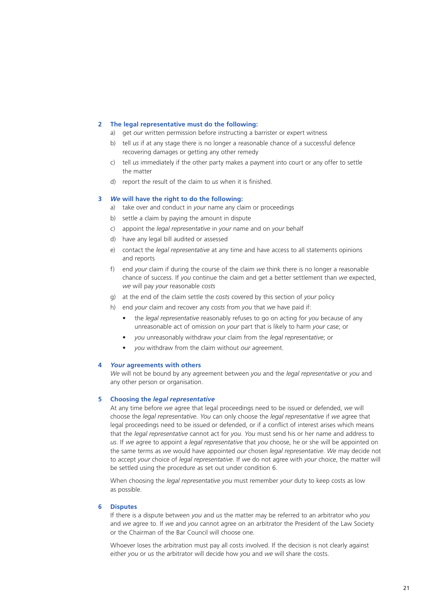## **2 The legal representative must do the following:**

- a) get *our* written permission before instructing a barrister or expert witness
- b) tell *us* if at any stage there is no longer a reasonable chance of a successful defence recovering damages or getting any other remedy
- c) tell *us* immediately if the other party makes a payment into court or any offer to settle the matter
- d) report the result of the claim to *us* when it is finished.

### **3** *We* **will have the right to do the following:**

- a) take over and conduct in *your* name any claim or proceedings
- b) settle a claim by paying the amount in dispute
- c) appoint the *legal representative* in *your* name and on *your* behalf
- d) have any legal bill audited or assessed
- e) contact the *legal representative* at any time and have access to all statements opinions and reports
- f) end *your* claim if during the course of the claim *we* think there is no longer a reasonable chance of success. If *you* continue the claim and get a better settlement than *we* expected, *we* will pay *your* reasonable *costs*
- g) at the end of the claim settle the *costs* covered by this section of *your* policy
- h) end *your* claim and recover any *costs* from *you* that *we* have paid if:
	- the *legal representative* reasonably refuses to go on acting for *you* because of any unreasonable act of omission on *your* part that is likely to harm *your* case; or
	- *you* unreasonably withdraw *your* claim from the *legal representative*; or
	- *you* withdraw from the claim without *our* agreement.

#### **4** *Your* **agreements with others**

*We* will not be bound by any agreement between *you* and the *legal representative* or *you* and any other person or organisation.

## **5 Choosing the** *legal representative*

At any time before *we* agree that legal proceedings need to be issued or defended, *we* will choose the *legal representative*. *You* can only choose the *legal representative* if *we* agree that legal proceedings need to be issued or defended, or if a conflict of interest arises which means that the *legal representative* cannot act for *you*. *You* must send his or her name and address to *us*. If *we* agree to appoint a *legal representative* that *you* choose, he or she will be appointed on the same terms as *we* would have appointed *our* chosen *legal representative*. *We* may decide not to accept *your* choice of *legal representative*. If *we* do not agree with *your* choice, the matter will be settled using the procedure as set out under condition 6.

When choosing the *legal representative you* must remember *your* duty to keep costs as low as possible.

## **6 Disputes**

If there is a dispute between *you* and *us* the matter may be referred to an arbitrator who *you* and *we* agree to. If *we* and *you* cannot agree on an arbitrator the President of the Law Society or the Chairman of the Bar Council will choose one.

Whoever loses the arbitration must pay all costs involved. If the decision is not clearly against either *you* or *us* the arbitrator will decide how *you* and *we* will share the costs.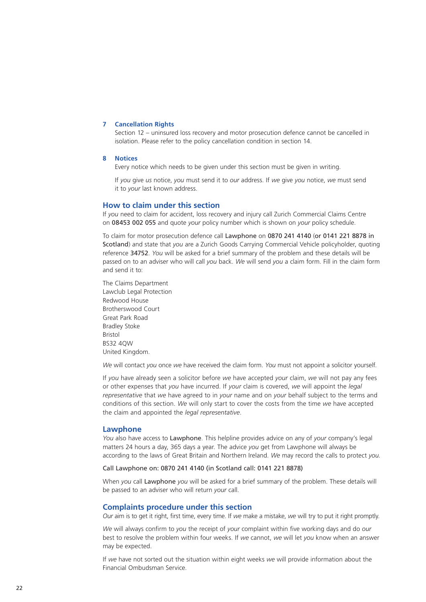### **7 Cancellation Rights**

Section 12 – uninsured loss recovery and motor prosecution defence cannot be cancelled in isolation. Please refer to the policy cancellation condition in section 14.

#### **8 Notices**

Every notice which needs to be given under this section must be given in writing.

If *you* give *us* notice, *you* must send it to *our* address. If *we* give *you* notice, *we* must send it to *your* last known address.

### **How to claim under this section**

If *you* need to claim for accident, loss recovery and injury call Zurich Commercial Claims Centre on 08453 002 055 and quote *your* policy number which is shown on *your* policy schedule.

To claim for motor prosecution defence call Lawphone on 0870 241 4140 (or 0141 221 8878 in Scotland) and state that *you* are a Zurich Goods Carrying Commercial Vehicle policyholder, quoting reference 34752. *You* will be asked for a brief summary of the problem and these details will be passed on to an adviser who will call *you* back. *We* will send *you* a claim form. Fill in the claim form and send it to:

The Claims Department Lawclub Legal Protection Redwood House Brotherswood Court Great Park Road Bradley Stoke Bristol BS32 4QW United Kingdom.

*We* will contact *you* once *we* have received the claim form. *You* must not appoint a solicitor yourself.

If *you* have already seen a solicitor before *we* have accepted *your* claim, *we* will not pay any fees or other expenses that *you* have incurred. If *your* claim is covered, *we* will appoint the *legal representative* that *we* have agreed to in *your* name and on *your* behalf subject to the terms and conditions of this section. *We* will only start to cover the costs from the time *we* have accepted the claim and appointed the *legal representative*.

#### **Lawphone**

*You* also have access to Lawphone. This helpline provides advice on any of *your* company's legal matters 24 hours a day, 365 days a year. The advice *you* get from Lawphone will always be according to the laws of Great Britain and Northern Ireland. *We* may record the calls to protect *you*.

## Call Lawphone on: 0870 241 4140 (in Scotland call: 0141 221 8878)

When *you* call Lawphone *you* will be asked for a brief summary of the problem. These details will be passed to an adviser who will return *your* call.

## **Complaints procedure under this section**

*Our* aim is to get it right, first time, every time. If *we* make a mistake, *we* will try to put it right promptly.

*We* will always confirm to *you* the receipt of *your* complaint within five working days and do *our* best to resolve the problem within four weeks. If *we* cannot, *we* will let *you* know when an answer may be expected.

If *we* have not sorted out the situation within eight weeks *we* will provide information about the Financial Ombudsman Service.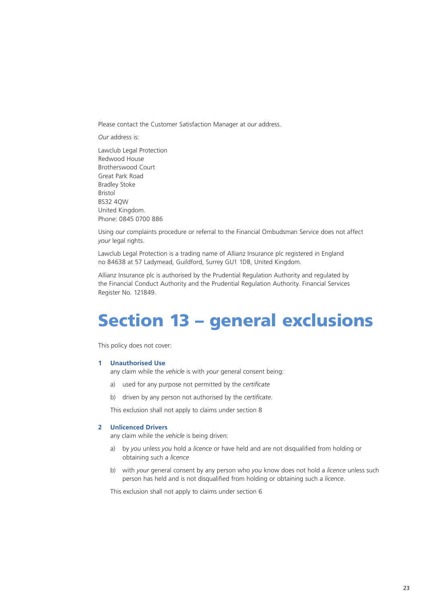Please contact the Customer Satisfaction Manager at *our* address.

*Our* address is:

Lawclub Legal Protection Redwood House Brotherswood Court Great Park Road Bradley Stoke Bristol BS32 4QW United Kingdom. Phone: 0845 0700 886

Using *our* complaints procedure or referral to the Financial Ombudsman Service does not affect *your* legal rights.

Lawclub Legal Protection is a trading name of Allianz Insurance plc registered in England no 84638 at 57 Ladymead, Guildford, Surrey GU1 1DB, United Kingdom.

Allianz Insurance plc is authorised by the Prudential Regulation Authority and regulated by the Financial Conduct Authority and the Prudential Regulation Authority. Financial Services Register No. 121849.

## Section 13 – general exclusions

This policy does not cover:

## **1 Unauthorised Use**

any claim while the *vehicle* is with *your* general consent being:

- a) used for any purpose not permitted by the *certificate*
- b) driven by any person not authorised by the *certificate*.

This exclusion shall not apply to claims under section 8

## **2 Unlicenced Drivers**

any claim while the *vehicle* is being driven:

- a) by *you* unless *you* hold a *licence* or have held and are not disqualified from holding or obtaining such a *licence*
- b) with *your* general consent by any person who *you* know does not hold a *licence* unless such person has held and is not disqualified from holding or obtaining such a *licence*.

This exclusion shall not apply to claims under section 6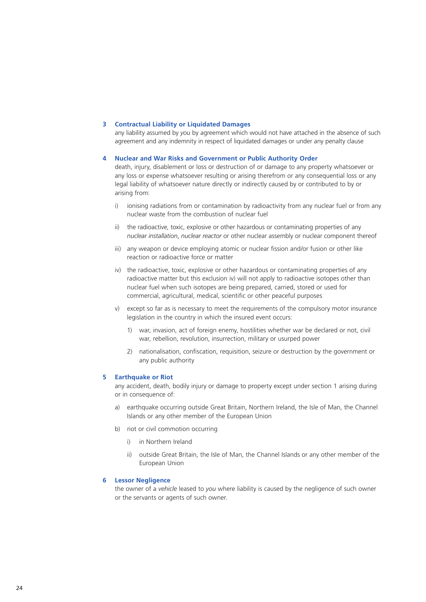### **3 Contractual Liability or Liquidated Damages**

any liability assumed by *you* by agreement which would not have attached in the absence of such agreement and any indemnity in respect of liquidated damages or under any penalty clause

#### **4 Nuclear and War Risks and Government or Public Authority Order**

death, injury, disablement or loss or destruction of or damage to any property whatsoever or any loss or expense whatsoever resulting or arising therefrom or any consequential loss or any legal liability of whatsoever nature directly or indirectly caused by or contributed to by or arising from:

- i) ionising radiations from or contamination by radioactivity from any nuclear fuel or from any nuclear waste from the combustion of nuclear fuel
- ii) the radioactive, toxic, explosive or other hazardous or contaminating properties of any *nuclear installation*, *nuclear reactor* or other nuclear assembly or nuclear component thereof
- iii) any weapon or device employing atomic or nuclear fission and/or fusion or other like reaction or radioactive force or matter
- iv) the radioactive, toxic, explosive or other hazardous or contaminating properties of any radioactive matter but this exclusion iv) will not apply to radioactive isotopes other than nuclear fuel when such isotopes are being prepared, carried, stored or used for commercial, agricultural, medical, scientific or other peaceful purposes
- v) except so far as is necessary to meet the requirements of the compulsory motor insurance legislation in the country in which the insured event occurs:
	- 1) war, invasion, act of foreign enemy, hostilities whether war be declared or not, civil war, rebellion, revolution, insurrection, military or usurped power
	- 2) nationalisation, confiscation, requisition, seizure or destruction by the government or any public authority

## **5 Earthquake or Riot**

any accident, death, bodily injury or damage to property except under section 1 arising during or in consequence of:

- a) earthquake occurring outside Great Britain, Northern Ireland, the Isle of Man, the Channel Islands or any other member of the European Union
- b) riot or civil commotion occurring
	- i) in Northern Ireland
	- ii) outside Great Britain, the Isle of Man, the Channel Islands or any other member of the European Union

## **6 Lessor Negligence**

the owner of a *vehicle* leased to *you* where liability is caused by the negligence of such owner or the servants or agents of such owner.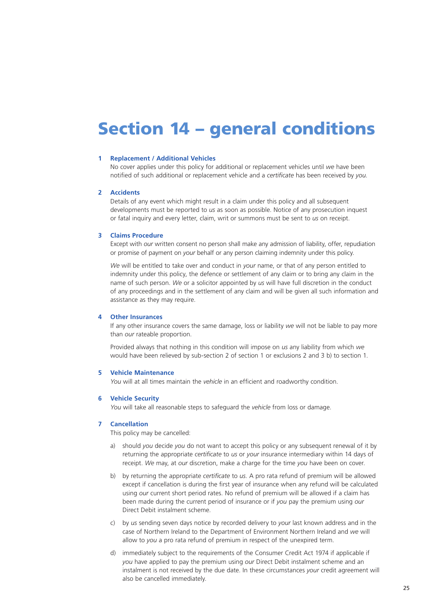# Section 14 – general conditions

#### **1 Replacement / Additional Vehicles**

No cover applies under this policy for additional or replacement vehicles until *we* have been notified of such additional or replacement vehicle and a *certificate* has been received by *you*.

### **2 Accidents**

Details of any event which might result in a claim under this policy and all subsequent developments must be reported to *us* as soon as possible. Notice of any prosecution inquest or fatal inquiry and every letter, claim, writ or summons must be sent to *us* on receipt.

#### **3 Claims Procedure**

Except with *our* written consent no person shall make any admission of liability, offer, repudiation or promise of payment on *your* behalf or any person claiming indemnity under this policy.

*We* will be entitled to take over and conduct in *your* name, or that of any person entitled to indemnity under this policy, the defence or settlement of any claim or to bring any claim in the name of such person. *We* or a solicitor appointed by *us* will have full discretion in the conduct of any proceedings and in the settlement of any claim and will be given all such information and assistance as they may require.

## **4 Other Insurances**

If any other insurance covers the same damage, loss or liability *we* will not be liable to pay more than *our* rateable proportion.

Provided always that nothing in this condition will impose on *us* any liability from which *we* would have been relieved by sub-section 2 of section 1 or exclusions 2 and 3 b) to section 1.

#### **5 Vehicle Maintenance**

*You* will at all times maintain the *vehicle* in an efficient and roadworthy condition.

## **6 Vehicle Security**

*You* will take all reasonable steps to safeguard the *vehicle* from loss or damage.

## **7 Cancellation**

This policy may be cancelled:

- a) should *you* decide *you* do not want to accept this policy or any subsequent renewal of it by returning the appropriate *certificate* to *us* or *your* insurance intermediary within 14 days of receipt. *We* may, at *our* discretion, make a charge for the time *you* have been on cover.
- b) by returning the appropriate *certificate* to *us*. A pro rata refund of premium will be allowed except if cancellation is during the first year of insurance when any refund will be calculated using *our* current short period rates. No refund of premium will be allowed if a claim has been made during the current period of insurance or if *you* pay the premium using *our* Direct Debit instalment scheme.
- c) by *us* sending seven days notice by recorded delivery to *your* last known address and in the case of Northern Ireland to the Department of Environment Northern Ireland and *we* will allow to *you* a pro rata refund of premium in respect of the unexpired term.
- d) immediately subject to the requirements of the Consumer Credit Act 1974 if applicable if *you* have applied to pay the premium using *our* Direct Debit instalment scheme and an instalment is not received by the due date. In these circumstances *your* credit agreement will also be cancelled immediately.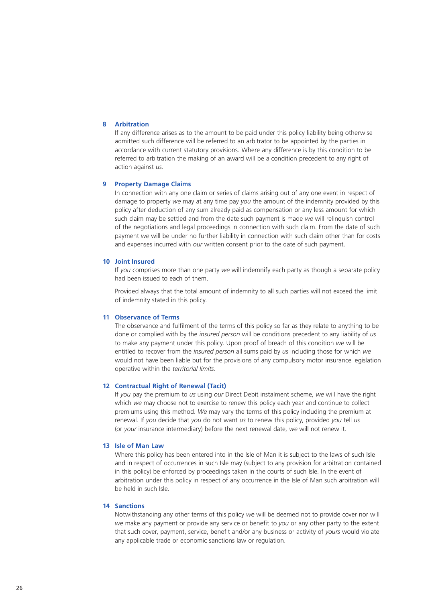#### **8 Arbitration**

If any difference arises as to the amount to be paid under this policy liability being otherwise admitted such difference will be referred to an arbitrator to be appointed by the parties in accordance with current statutory provisions. Where any difference is by this condition to be referred to arbitration the making of an award will be a condition precedent to any right of action against *us*.

## **9 Property Damage Claims**

In connection with any one claim or series of claims arising out of any one event in respect of damage to property *we* may at any time pay *you* the amount of the indemnity provided by this policy after deduction of any sum already paid as compensation or any less amount for which such claim may be settled and from the date such payment is made *we* will relinquish control of the negotiations and legal proceedings in connection with such claim. From the date of such payment *we* will be under no further liability in connection with such claim other than for costs and expenses incurred with *our* written consent prior to the date of such payment.

## **10 Joint Insured**

If *you* comprises more than one party *we* will indemnify each party as though a separate policy had been issued to each of them.

Provided always that the total amount of indemnity to all such parties will not exceed the limit of indemnity stated in this policy.

## **11 Observance of Terms**

The observance and fulfilment of the terms of this policy so far as they relate to anything to be done or complied with by the *insured person* will be conditions precedent to any liability of *us* to make any payment under this policy. Upon proof of breach of this condition *we* will be entitled to recover from the *insured person* all sums paid by *us* including those for which *we* would not have been liable but for the provisions of any compulsory motor insurance legislation operative within the *territorial limits*.

#### **12 Contractual Right of Renewal (Tacit)**

If *you* pay the premium to *us* using *our* Direct Debit instalment scheme, *we* will have the right which *we* may choose not to exercise to renew this policy each year and continue to collect premiums using this method. *We* may vary the terms of this policy including the premium at renewal. If *you* decide that *you* do not want *us* to renew this policy, provided *you* tell *us* (or *your* insurance intermediary) before the next renewal date, *we* will not renew it.

## **13 Isle of Man Law**

Where this policy has been entered into in the Isle of Man it is subject to the laws of such Isle and in respect of occurrences in such Isle may (subject to any provision for arbitration contained in this policy) be enforced by proceedings taken in the courts of such Isle. In the event of arbitration under this policy in respect of any occurrence in the Isle of Man such arbitration will be held in such Isle.

## **14 Sanctions**

Notwithstanding any other terms of this policy *we* will be deemed not to provide cover nor will *we* make any payment or provide any service or benefit to *you* or any other party to the extent that such cover, payment, service, benefit and/or any business or activity of *yours* would violate any applicable trade or economic sanctions law or regulation.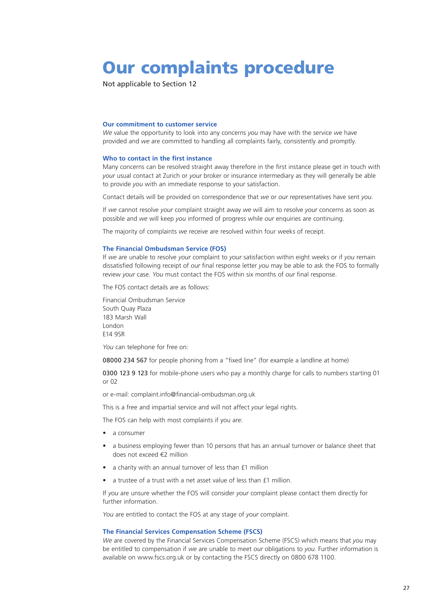## Our complaints procedure

Not applicable to Section 12

#### **Our commitment to customer service**

*We* value the opportunity to look into any concerns *you* may have with the service *w*e have provided and *we* are committed to handling all complaints fairly, consistently and promptly.

#### **Who to contact in the first instance**

Many concerns can be resolved straight away therefore in the first instance please get in touch with *your* usual contact at Zurich or *your* broker or insurance intermediary as they will generally be able to provide *you* with an immediate response to your satisfaction.

Contact details will be provided on correspondence that *we* or *our* representatives have sent *you*.

If *we* cannot resolve *your* complaint straight away *we* will aim to resolve *your* concerns as soon as possible and *we* will keep *you* informed of progress while *our* enquiries are continuing.

The majority of complaints *we* receive are resolved within four weeks of receipt.

#### **The Financial Ombudsman Service (FOS)**

If *we* are unable to resolve *your* complaint to *your* satisfaction within eight weeks or if *you* remain dissatisfied following receipt of *our* final response letter *you* may be able to ask the FOS to formally review *your* case. *You* must contact the FOS within six months of *our* final response.

The FOS contact details are as follows:

Financial Ombudsman Service South Quay Plaza 183 Marsh Wall London E14 9SR

*You* can telephone for free on:

08000 234 567 for people phoning from a "fixed line" (for example a landline at home)

0300 123 9 123 for mobile-phone users who pay a monthly charge for calls to numbers starting 01 or 02

or e-mail: complaint.info@financial-ombudsman.org.uk

This is a free and impartial service and will not affect *your* legal rights.

The FOS can help with most complaints if you are:

- a consumer
- a business employing fewer than 10 persons that has an annual turnover or balance sheet that does not exceed €2 million
- a charity with an annual turnover of less than £1 million
- a trustee of a trust with a net asset value of less than £1 million.

If *you* are unsure whether the FOS will consider *your* complaint please contact them directly for further information.

*You* are entitled to contact the FOS at any stage of *your* complaint.

#### **The Financial Services Compensation Scheme (FSCS)**

*We* are covered by the Financial Services Compensation Scheme (FSCS) which means that *you* may be entitled to compensation if *we* are unable to meet *our* obligations to *you*. Further information is available on www.fscs.org.uk or by contacting the FSCS directly on 0800 678 1100.